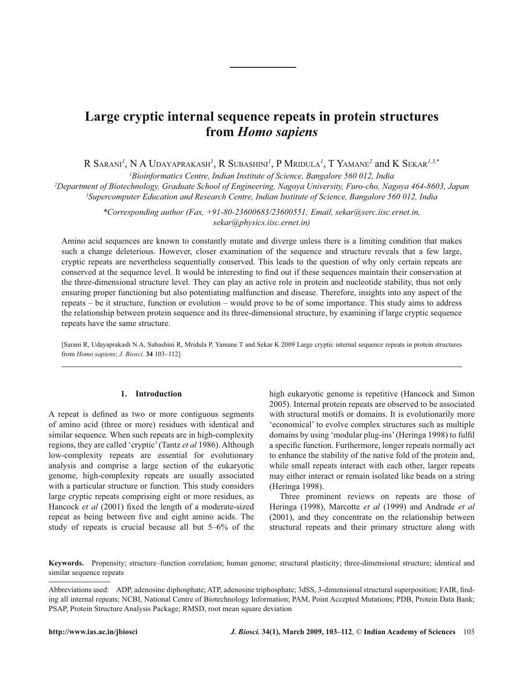# **from** *Homo sapiens*

R SARANI*<sup>1</sup>* , N A UDAYAPRAKASH*<sup>1</sup>* , R SUBASHINI*<sup>1</sup>* , P MRIDULA*<sup>1</sup>* , T YAMANE*<sup>2</sup>* and K SEKAR*1,3,*\*

*1 Bioinformatics Centre, Indian Institute of Science, Bangalore 560 012, India*

*2 Department of Biotechnology, Graduate School of Engineering, Nagoya University, Furo-cho, Nagoya 464-8603, Japan 3 Supercomputer Education and Research Centre, Indian Institute of Science, Bangalore 560 012, India*

> *\*Corresponding author (Fax, +91-80-23600683/23600551; Email, sekar@serc.iisc.ernet.in, sekar@physics.iisc.ernet.in)*

**harge cryptic internal sequence repeats in protein structures**<br> **http://www.ias.ac.in/jbiosciers/2009**<br> **http://www.ias.ac.in/jbiosciers/2009**<br>
<sup>7</sup>*Deparaments <sup>2</sup><i>Deparaments Combassion of Research P Motorius <i>Agenctos* Amino acid sequences are known to constantly mutate and diverge unless there is a limiting condition that makes such a change deleterious. However, closer examination of the sequence and structure reveals that a few large, cryptic repeats are nevertheless sequentially conserved. This leads to the question of why only certain repeats are conserved at the sequence level. It would be interesting to find out if these sequences maintain their conservation at the three-dimensional structure level. They can play an active role in protein and nucleotide stability, thus not only ensuring proper functioning but also potentiating malfunction and disease. Therefore, insights into any aspect of the repeats – be it structure, function or evolution – would prove to be of some importance. This study aims to address the relationship between protein sequence and its three-dimensional structure, by examining if large cryptic sequence repeats have the same structure.

[Sarani R, Udayaprakash N A, Subashini R, Mridula P, Yamane T and Sekar K 2009 Large cryptic internal sequence repeats in protein structures from *Homo sapiens*; *J. Biosci.* **34** 103–112]

# **1. Introduction**

A repeat is defined as two or more contiguous segments of amino acid (three or more) residues with identical and similar sequence. When such repeats are in high-complexity regions, they are called 'cryptic' (Tantz *et al* 1986). Although low-complexity repeats are essential for evolutionary analysis and comprise a large section of the eukaryotic genome, high-complexity repeats are usually associated with a particular structure or function. This study considers large cryptic repeats comprising eight or more residues, as Hancock *et al* (2001) fixed the length of a moderate-sized repeat as being between five and eight amino acids. The study of repeats is crucial because all but 5–6% of the high eukaryotic genome is repetitive (Hancock and Simon 2005). Internal protein repeats are observed to be associated with structural motifs or domains. It is evolutionarily more 'economical' to evolve complex structures such as multiple domains by using 'modular plug-ins' (Heringa 1998) to fulfil a specific function. Furthermore, longer repeats normally act to enhance the stability of the native fold of the protein and, while small repeats interact with each other, larger repeats may either interact or remain isolated like beads on a string (Heringa 1998).

Three prominent reviews on repeats are those of Heringa (1998), Marcotte *et al* (1999) and Andrade *et al* (2001), and they concentrate on the relationship between structural repeats and their primary structure along with

**Keywords.** Propensity; structure–function correlation; human genome; structural plasticity; three-dimensional structure; identical and similar sequence repeats

Abbreviations used: ADP, adenosine diphosphate; ATP, adenosine triphosphate; 3dSS, 3-dimensional structural superposition; FAIR, finding all internal repeats; NCBI, National Centre of Biotechnology Information; PAM, Point Accepted Mutations; PDB, Protein Data Bank; PSAP, Protein Structure Analysis Package; RMSD, root mean square deviation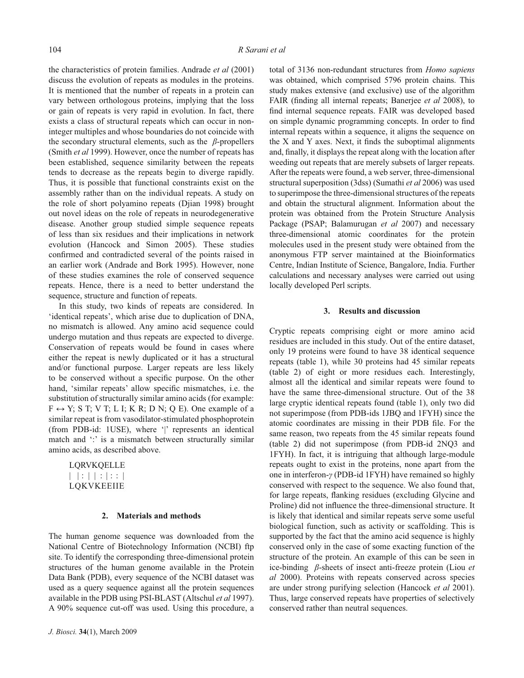the characteristics of protein families. Andrade *et al* (2001) discuss the evolution of repeats as modules in the proteins. It is mentioned that the number of repeats in a protein can vary between orthologous proteins, implying that the loss or gain of repeats is very rapid in evolution. In fact, there exists a class of structural repeats which can occur in noninteger multiples and whose boundaries do not coincide with the secondary structural elements, such as the *β*-propellers (Smith *et al* 1999). However, once the number of repeats has been established, sequence similarity between the repeats tends to decrease as the repeats begin to diverge rapidly. Thus, it is possible that functional constraints exist on the assembly rather than on the individual repeats. A study on the role of short polyamino repeats (Djian 1998) brought out novel ideas on the role of repeats in neurodegenerative disease. Another group studied simple sequence repeats of less than six residues and their implications in network evolution (Hancock and Simon 2005). These studies confirmed and contradicted several of the points raised in an earlier work (Andrade and Bork 1995). However, none of these studies examines the role of conserved sequence repeats. Hence, there is a need to better understand the sequence, structure and function of repeats.

In this study, two kinds of repeats are considered. In 'identical repeats', which arise due to duplication of DNA, no mismatch is allowed. Any amino acid sequence could undergo mutation and thus repeats are expected to diverge. Conservation of repeats would be found in cases where either the repeat is newly duplicated or it has a structural and/or functional purpose. Larger repeats are less likely to be conserved without a specific purpose. On the other hand, 'similar repeats' allow specific mismatches, i.e. the substitution of structurally similar amino acids (for example:  $F \leftrightarrow Y$ ; S T; V T; L I; K R; D N; Q E). One example of a similar repeat is from vasodilator-stimulated phosphoprotein (from PDB-id: 1USE), where '|' represents an identical match and ": is a mismatch between structurally similar amino acids, as described above.

LQRVKQELLE  $|| | : || : || : || : ||$ LQKVKEEIIE

## **2. Materials and methods**

The human genome sequence was downloaded from the National Centre of Biotechnology Information (NCBI) ftp site. To identify the corresponding three-dimensional protein structures of the human genome available in the Protein Data Bank (PDB), every sequence of the NCBI dataset was used as a query sequence against all the protein sequences available in the PDB using PSI-BLAST (Altschul *et al* 1997). A 90% sequence cut-off was used. Using this procedure, a total of 3136 non-redundant structures from *Homo sapiens* was obtained, which comprised 5796 protein chains. This study makes extensive (and exclusive) use of the algorithm FAIR (finding all internal repeats; Banerjee *et al* 2008), to find internal sequence repeats. FAIR was developed based on simple dynamic programming concepts. In order to find internal repeats within a sequence, it aligns the sequence on the  $X$  and  $Y$  axes. Next, it finds the suboptimal alignments and, finally, it displays the repeat along with the location after weeding out repeats that are merely subsets of larger repeats. After the repeats were found, a web server, three-dimensional structural superposition (3dss) (Sumathi *et al* 2006) was used to superimpose the three-dimensional structures of the repeats and obtain the structural alignment. Information about the protein was obtained from the Protein Structure Analysis Package (PSAP; Balamurugan *et al* 2007) and necessary three-dimensional atomic coordinates for the protein molecules used in the present study were obtained from the anonymous FTP server maintained at the Bioinformatics Centre, Indian Institute of Science, Bangalore, India. Further calculations and necessary analyses were carried out using locally developed Perl scripts.

#### **3. Results and discussion**

Cryptic repeats comprising eight or more amino acid residues are included in this study. Out of the entire dataset, only 19 proteins were found to have 38 identical sequence repeats (table 1), while 30 proteins had 45 similar repeats (table 2) of eight or more residues each. Interestingly, almost all the identical and similar repeats were found to have the same three-dimensional structure. Out of the 38 large cryptic identical repeats found (table 1), only two did not superimpose (from PDB-ids 1JBQ and 1FYH) since the atomic coordinates are missing in their PDB file. For the same reason, two repeats from the 45 similar repeats found (table 2) did not superimpose (from PDB-id 2NQ3 and 1FYH). In fact, it is intriguing that although large-module repeats ought to exist in the proteins, none apart from the one in interferon-*γ* (PDB-id 1FYH) have remained so highly conserved with respect to the sequence. We also found that, for large repeats, flanking residues (excluding Glycine and Proline) did not influence the three-dimensional structure. It is likely that identical and similar repeats serve some useful biological function, such as activity or scaffolding. This is supported by the fact that the amino acid sequence is highly conserved only in the case of some exacting function of the structure of the protein. An example of this can be seen in ice-binding *β*-sheets of insect anti-freeze protein (Liou *et al* 2000). Proteins with repeats conserved across species are under strong purifying selection (Hancock *et al* 2001). Thus, large conserved repeats have properties of selectively conserved rather than neutral sequences.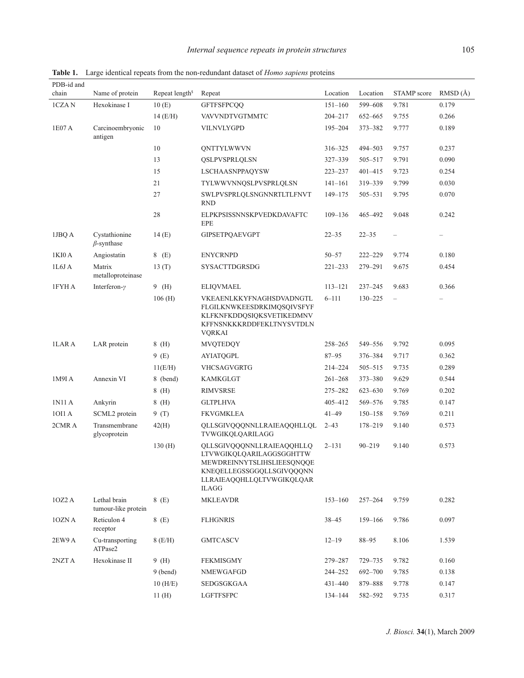| PDB-id and |                                     |                            |                                                                                                                                                               |             |             |             |                   |
|------------|-------------------------------------|----------------------------|---------------------------------------------------------------------------------------------------------------------------------------------------------------|-------------|-------------|-------------|-------------------|
| chain      | Name of protein                     | Repeat length <sup>s</sup> | Repeat                                                                                                                                                        | Location    | Location    | STAMP score | RMSD(A)           |
| 1CZAN      | Hexokinase I                        | 10(E)                      | <b>GFTFSFPCQQ</b>                                                                                                                                             | $151 - 160$ | 599-608     | 9.781       | 0.179             |
|            |                                     | $14$ (E/H)                 | VAVVNDTVGTMMTC                                                                                                                                                | $204 - 217$ | 652-665     | 9.755       | 0.266             |
| 1E07 A     | Carcinoembryonic<br>antigen         | 10                         | VILNVLYGPD                                                                                                                                                    | $195 - 204$ | 373-382     | 9.777       | 0.189             |
|            |                                     | 10                         | <b>QNTTYLWWVN</b>                                                                                                                                             | 316-325     | 494-503     | 9.757       | 0.237             |
|            |                                     | 13                         | QSLPVSPRLQLSN                                                                                                                                                 | 327-339     | 505-517     | 9.791       | 0.090             |
|            |                                     | 15                         | LSCHAASNPPAQYSW                                                                                                                                               | $223 - 237$ | $401 - 415$ | 9.723       | 0.254             |
|            |                                     | 21                         | TYLWWVNNQSLPVSPRLQLSN                                                                                                                                         | $141 - 161$ | 319-339     | 9.799       | 0.030             |
|            |                                     | 27                         | SWLPVSPRLOLSNGNNRTLTLFNVT<br><b>RND</b>                                                                                                                       | 149-175     | 505-531     | 9.795       | 0.070             |
|            |                                     | 28                         | ELPKPSISSNNSKPVEDKDAVAFTC<br>EPE                                                                                                                              | $109 - 136$ | 465-492     | 9.048       | 0.242             |
| 1JBQ A     | Cystathionine<br>$\beta$ -synthase  | 14(E)                      | <b>GIPSETPQAEVGPT</b>                                                                                                                                         | $22 - 35$   | $22 - 35$   |             | $\qquad \qquad -$ |
| 1KI0 A     | Angiostatin                         | 8 (E)                      | <b>ENYCRNPD</b>                                                                                                                                               | $50 - 57$   | $222 - 229$ | 9.774       | 0.180             |
| 1L6JA      | Matrix<br>metalloproteinase         | 13(T)                      | SYSACTTDGRSDG                                                                                                                                                 | $221 - 233$ | 279-291     | 9.675       | 0.454             |
| 1FYH A     | Interferon- $\gamma$                | $9$ (H)                    | <b>ELIQVMAEL</b>                                                                                                                                              | $113 - 121$ | $237 - 245$ | 9.683       | 0.366             |
|            |                                     | 106(H)                     | VKEAENLKKYFNAGHSDVADNGTL<br>FLGILKNWKEESDRKIMQSQIVSFYF<br>KLFKNFKDDQSIQKSVETIKEDMNV<br>KFFNSNKKKRDDFEKLTNYSVTDLN<br><b>VQRKAI</b>                             | $6 - 111$   | $130 - 225$ |             |                   |
| 1LAR A     | LAR protein                         | $8$ (H)                    | <b>MVQTEDQY</b>                                                                                                                                               | $258 - 265$ | 549-556     | 9.792       | 0.095             |
|            |                                     | 9(E)                       | <b>AYIATQGPL</b>                                                                                                                                              | $87 - 95$   | 376-384     | 9.717       | 0.362             |
|            |                                     | 11(E/H)                    | VHCSAGVGRTG                                                                                                                                                   | 214-224     | 505-515     | 9.735       | 0.289             |
| 1M9I A     | Annexin VI                          | 8 (bend)                   | <b>KAMKGLGT</b>                                                                                                                                               | $261 - 268$ | $373 - 380$ | 9.629       | 0.544             |
|            |                                     | $8$ (H)                    | <b>RIMVSRSE</b>                                                                                                                                               | 275-282     | $623 - 630$ | 9.769       | 0.202             |
| 1N11 A     | Ankyrin                             | $8$ (H)                    | <b>GLTPLHVA</b>                                                                                                                                               | 405-412     | 569-576     | 9.785       | 0.147             |
| 10I1 A     | SCML2 protein                       | 9(T)                       | <b>FKVGMKLEA</b>                                                                                                                                              | $41 - 49$   | $150 - 158$ | 9.769       | 0.211             |
| 2CMR A     | Transmembrane<br>glycoprotein       | 42(H)                      | QLLSGIVQQQNNLLRAIEAQQHLLQL<br>TVWGIKQLQARILAGG                                                                                                                | $2 - 43$    | 178-219     | 9.140       | 0.573             |
|            |                                     | 130(H)                     | OLLSGIVOOONNLLRAIEAOOHLLO<br>LTVWGIKQLQARILAGGSGGHTTW<br>MEWDREINNYTSLIHSLIEESQNQQE<br>KNEQELLEGSSGGQLLSGIVQQQNN<br>LLRAIEAQQHLLQLTVWGIKQLQAR<br><b>ILAGG</b> | $2 - 131$   | $90 - 219$  | 9.140       | 0.573             |
| 1OZ2A      | Lethal brain<br>tumour-like protein | 8 (E)                      | <b>MKLEAVDR</b>                                                                                                                                               | $153 - 160$ | $257 - 264$ | 9.759       | 0.282             |
| 10ZN A     | Reticulon 4<br>receptor             | 8 (E)                      | <b>FLHGNRIS</b>                                                                                                                                               | $38 - 45$   | 159-166     | 9.786       | 0.097             |
| 2EW9 A     | Cu-transporting<br>ATPase2          | $8$ (E/H)                  | <b>GMTCASCV</b>                                                                                                                                               | $12 - 19$   | $88 - 95$   | 8.106       | 1.539             |
| 2NZTA      | Hexokinase II                       | $9$ (H)                    | <b>FEKMISGMY</b>                                                                                                                                              | 279-287     | 729-735     | 9.782       | 0.160             |
|            |                                     | $9$ (bend)                 | NMEWGAFGD                                                                                                                                                     | 244-252     | 692-700     | 9.785       | 0.138             |
|            |                                     | $10$ (H/E)                 | SEDGSGKGAA                                                                                                                                                    | $431 - 440$ | 879-888     | 9.778       | 0.147             |
|            |                                     | 11(H)                      | <b>LGFTFSFPC</b>                                                                                                                                              | 134-144     | 582-592     | 9.735       | 0.317             |

**Table 1.** Large identical repeats from the non-redundant dataset of *Homo sapiens* proteins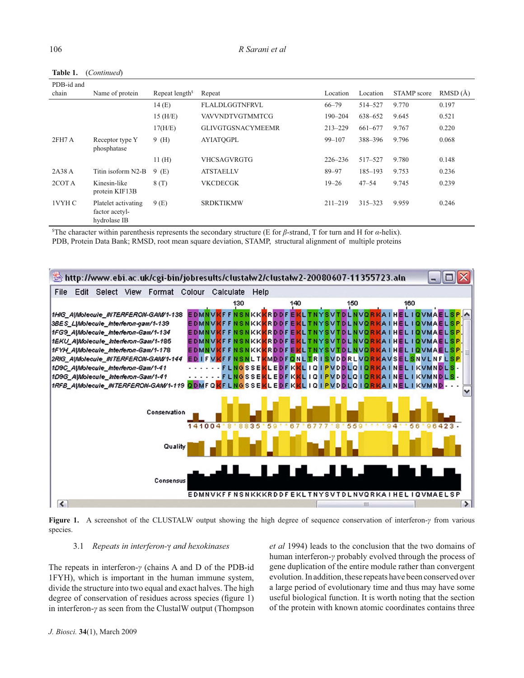| PDB-id and |                                                       |                            |                          |             |             |             |         |
|------------|-------------------------------------------------------|----------------------------|--------------------------|-------------|-------------|-------------|---------|
| chain      | Name of protein                                       | Repeat length <sup>s</sup> | Repeat                   | Location    | Location    | STAMP score | RMSD(A) |
|            |                                                       | 14(E)                      | FLALDLGGTNFRVL           | $66 - 79$   | 514-527     | 9.770       | 0.197   |
|            |                                                       | $15$ (H/E)                 | <b>VAVVNDTVGTMMTCG</b>   | $190 - 204$ | 638-652     | 9.645       | 0.521   |
|            |                                                       | 17(H/E)                    | <b>GLIVGTGSNACYMEEMR</b> | $213 - 229$ | 661-677     | 9.767       | 0.220   |
| 2FH7A      | Receptor type Y<br>phosphatase                        | 9(H)                       | <b>AYIATOGPL</b>         | $99 - 107$  | 388-396     | 9.796       | 0.068   |
|            |                                                       | 11(H)                      | <b>VHCSAGVRGTG</b>       | $226 - 236$ | 517-527     | 9.780       | 0.148   |
| 2A38 A     | Titin isoform N2-B                                    | 9(E)                       | <b>ATSTAELLV</b>         | 89-97       | $185 - 193$ | 9.753       | 0.236   |
| 2COT A     | Kinesin-like<br>protein KIF13B                        | 8(T)                       | <b>VKCDECGK</b>          | $19 - 26$   | $47 - 54$   | 9.745       | 0.239   |
| 1VYH C     | Platelet activating<br>factor acetyl-<br>hydrolase IB | 9(E)                       | <b>SRDKTIKMW</b>         | $211 - 219$ | $315 - 323$ | 9.959       | 0.246   |

**Table 1.** (*Continued*)

\$ The character within parenthesis represents the secondary structure (E for *β*-strand, T for turn and H for *α*-helix). PDB, Protein Data Bank; RMSD, root mean square deviation, STAMP, structural alignment of multiple proteins



**Figure 1.** A screenshot of the CLUSTALW output showing the high degree of sequence conservation of interferon-*γ* from various species.

#### 3.1 *Repeats in interferon-*γ *and hexokinases*

The repeats in interferon-*γ* (chains A and D of the PDB-id 1FYH), which is important in the human immune system, divide the structure into two equal and exact halves. The high degree of conservation of residues across species (figure 1) in interferon-*γ* as seen from the ClustalW output (Thompson *et al* 1994) leads to the conclusion that the two domains of human interferon-*γ* probably evolved through the process of gene duplication of the entire module rather than convergent evolution. In addition, these repeats have been conserved over a large period of evolutionary time and thus may have some useful biological function. It is worth noting that the section of the protein with known atomic coordinates contains three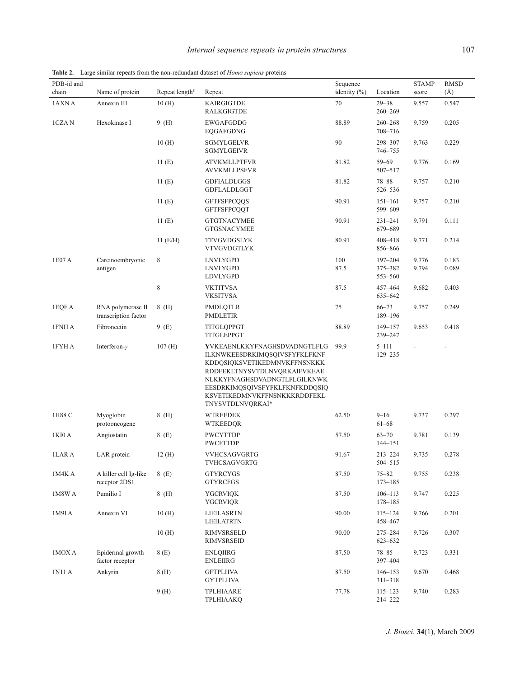| PDB-id and<br>chain | Name of protein                           | Repeat length <sup>s</sup> | Repeat                                                                                                                                                                                                                                                     | Sequence<br>identity $(\% )$ | Location                          | <b>STAMP</b><br>score | <b>RMSD</b><br>$(\AA)$ |
|---------------------|-------------------------------------------|----------------------------|------------------------------------------------------------------------------------------------------------------------------------------------------------------------------------------------------------------------------------------------------------|------------------------------|-----------------------------------|-----------------------|------------------------|
| 1AXN A              | Annexin III                               | 10(H)                      | <b>KAIRGIGTDE</b><br><b>RALKGIGTDE</b>                                                                                                                                                                                                                     | 70                           | $29 - 38$<br>$260 - 269$          | 9.557                 | 0.547                  |
| 1CZAN               | Hexokinase I                              | 9(H)                       | <b>EWGAFGDDG</b><br>EQGAFGDNG                                                                                                                                                                                                                              | 88.89                        | $260 - 268$<br>708-716            | 9.759                 | 0.205                  |
|                     |                                           | 10(H)                      | <b>SGMYLGELVR</b><br>SGMYLGEIVR                                                                                                                                                                                                                            | 90                           | 298-307<br>746-755                | 9.763                 | 0.229                  |
|                     |                                           | 11(E)                      | <b>ATVKMLLPTFVR</b><br><b>AVVKMLLPSFVR</b>                                                                                                                                                                                                                 | 81.82                        | $59 - 69$<br>507-517              | 9.776                 | 0.169                  |
|                     |                                           | 11(E)                      | <b>GDFIALDLGGS</b><br>GDFLALDLGGT                                                                                                                                                                                                                          | 81.82                        | $78 - 88$<br>526-536              | 9.757                 | 0.210                  |
|                     |                                           | 11(E)                      | <b>GFTFSFPCQQS</b><br><b>GFTFSFPCQQT</b>                                                                                                                                                                                                                   | 90.91                        | $151 - 161$<br>599-609            | 9.757                 | 0.210                  |
|                     |                                           | 11(E)                      | <b>GTGTNACYMEE</b><br><b>GTGSNACYMEE</b>                                                                                                                                                                                                                   | 90.91                        | $231 - 241$<br>679-689            | 9.791                 | 0.111                  |
|                     |                                           | $11$ (E/H)                 | <b>TTVGVDGSLYK</b><br><b>VTVGVDGTLYK</b>                                                                                                                                                                                                                   | 80.91                        | 408-418<br>856-866                | 9.771                 | 0.214                  |
| 1E07 A              | Carcinoembryonic<br>antigen               | $\,$ 8 $\,$                | <b>LNVLYGPD</b><br><b>LNVLYGPD</b><br>LDVLYGPD                                                                                                                                                                                                             | 100<br>87.5                  | $197 - 204$<br>375-382<br>553-560 | 9.776<br>9.794        | 0.183<br>0.089         |
|                     |                                           | $\,$ 8 $\,$                | <b>VKTITVSA</b><br><b>VKSITVSA</b>                                                                                                                                                                                                                         | 87.5                         | 457-464<br>635-642                | 9.682                 | 0.403                  |
| 1EQF A              | RNA polymerase II<br>transcription factor | $8$ (H)                    | PMDLQTLR<br><b>PMDLETIR</b>                                                                                                                                                                                                                                | 75                           | $66 - 73$<br>189-196              | 9.757                 | 0.249                  |
| 1FNH A              | Fibronectin                               | 9(E)                       | TITGLQPPGT<br>TITGLEPPGT                                                                                                                                                                                                                                   | 88.89                        | $149 - 157$<br>239-247            | 9.653                 | 0.418                  |
| 1FYH A              | Interferon- $\gamma$                      | 107(H)                     | YVKEAENLKKYFNAGHSDVADNGTLFLG<br><b>ILKNWKEESDRKIMQSQIVSFYFKLFKNF</b><br>KDDQSIQKSVETIKEDMNVKFFNSNKKK<br>RDDFEKLTNYSVTDLNVQRKAIFVKEAE<br>NLKKYFNAGHSDVADNGTLFLGILKNWK<br>EESDRKIMQSQIVSFYFKLFKNFKDDQSIQ<br>KSVETIKEDMNVKFFNSNKKKRDDFEKL<br>TNYSVTDLNVQRKAI* | 99.9                         | $5 - 111$<br>129-235              |                       |                        |
| 1H88 C              | Myoglobin<br>protooncogene                | 8 (H)                      | <b>WTREEDEK</b><br><b>WTKEEDQR</b>                                                                                                                                                                                                                         | 62.50                        | $9 - 16$<br>$61 - 68$             | 9.737                 | 0.297                  |
| 1KI0 A              | Angiostatin                               | 8(E)                       | <b>PWCYTTDP</b><br><b>PWCFTTDP</b>                                                                                                                                                                                                                         | 57.50                        | $63 - 70$<br>$144 - 151$          | 9.781                 | 0.139                  |
| 1LAR A              | LAR protein                               | 12(H)                      | <b>VVHCSAGVGRTG</b><br>TVHCSAGVGRTG                                                                                                                                                                                                                        | 91.67                        | $213 - 224$<br>$504 - 515$        | 9.735                 | 0.278                  |
| 1M4K A              | A killer cell Ig-like<br>receptor 2DS1    | 8(E)                       | <b>GTYRCYGS</b><br><b>GTYRCFGS</b>                                                                                                                                                                                                                         | 87.50                        | $75 - 82$<br>$173 - 185$          | 9.755                 | 0.238                  |
| 1M8W A              | Pumilio I                                 | $8$ (H)                    | <b>YGCRVIOK</b><br><b>YGCRVIQR</b>                                                                                                                                                                                                                         | 87.50                        | $106 - 113$<br>178-185            | 9.747                 | 0.225                  |
| 1M9I A              | Annexin VI                                | 10(H)                      | <b>LIEILASRTN</b><br>LIEILATRTN                                                                                                                                                                                                                            | 90.00                        | $115 - 124$<br>458–467            | 9.766                 | 0.201                  |
|                     |                                           | 10(H)                      | <b>RIMVSRSELD</b><br><b>RIMVSRSEID</b>                                                                                                                                                                                                                     | 90.00                        | 275-284<br>623-632                | 9.726                 | 0.307                  |
| 1MOX A              | Epidermal growth<br>factor receptor       | 8(E)                       | <b>ENLQIIRG</b><br><b>ENLEIIRG</b>                                                                                                                                                                                                                         | 87.50                        | $78 - 85$<br>397-404              | 9.723                 | 0.331                  |
| 1N11 A              | Ankyrin                                   | 8(H)                       | <b>GFTPLHVA</b><br><b>GYTPLHVA</b>                                                                                                                                                                                                                         | 87.50                        | $146 - 153$<br>311-318            | 9.670                 | 0.468                  |
|                     |                                           | 9(H)                       | TPLHIAARE<br>TPLHIAAKQ                                                                                                                                                                                                                                     | 77.78                        | $115 - 123$<br>214-222            | 9.740                 | 0.283                  |

**Table 2.** Large similar repeats from the non-redundant dataset of *Homo sapiens* proteins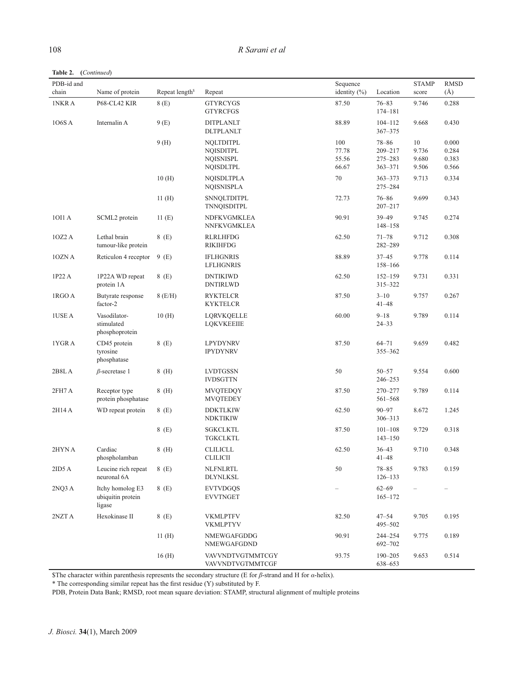| R Sarani et al |
|----------------|
|                |

**Table 2. (***Continued*)

| PDB-id and<br>chain | Name of protein                                 | Repeat length <sup>§</sup> | Repeat                                                                       | Sequence<br>identity $(\%)$    | Location                                           | <b>STAMP</b><br>score             | <b>RMSD</b><br>$(\AA)$           |
|---------------------|-------------------------------------------------|----------------------------|------------------------------------------------------------------------------|--------------------------------|----------------------------------------------------|-----------------------------------|----------------------------------|
| 1NKR A              | P68-CL42 KIR                                    | 8(E)                       | <b>GTYRCYGS</b><br><b>GTYRCFGS</b>                                           | 87.50                          | $76 - 83$<br>$174 - 181$                           | 9.746                             | 0.288                            |
| 106S A              | Internalin A                                    | 9(E)                       | <b>DITPLANLT</b><br><b>DLTPLANLT</b>                                         | 88.89                          | $104 - 112$<br>$367 - 375$                         | 9.668                             | 0.430                            |
|                     |                                                 | 9(H)                       | <b>NQLTDITPL</b><br><b>NQISDITPL</b><br><b>NQISNISPL</b><br><b>NQISDLTPL</b> | 100<br>77.78<br>55.56<br>66.67 | $78 - 86$<br>209-217<br>$275 - 283$<br>$363 - 371$ | $10\,$<br>9.736<br>9.680<br>9.506 | 0.000<br>0.284<br>0.383<br>0.566 |
|                     |                                                 | 10(H)                      | <b>NOISDLTPLA</b><br><b>NQISNISPLA</b>                                       | $70\,$                         | $363 - 373$<br>275-284                             | 9.713                             | 0.334                            |
|                     |                                                 | 11(H)                      | <b>SNNQLTDITPL</b><br>TNNQISDITPL                                            | 72.73                          | $76 - 86$<br>$207 - 217$                           | 9.699                             | 0.343                            |
| 10I1 A              | SCML2 protein                                   | 11(E)                      | NDFKVGMKLEA<br>NNFKVGMKLEA                                                   | 90.91                          | $39 - 49$<br>$148 - 158$                           | 9.745                             | 0.274                            |
| 10Z2A               | Lethal brain<br>tumour-like protein             | 8(E)                       | <b>RLRLHFDG</b><br><b>RIKIHFDG</b>                                           | 62.50                          | $71 - 78$<br>282-289                               | 9.712                             | 0.308                            |
| 10ZN A              | Reticulon 4 receptor                            | 9(E)                       | <b>IFLHGNRIS</b><br><b>LFLHGNRIS</b>                                         | 88.89                          | $37 - 45$<br>158-166                               | 9.778                             | 0.114                            |
| 1P22 A              | 1P22A WD repeat<br>protein 1A                   | 8(E)                       | <b>DNTIKIWD</b><br><b>DNTIRLWD</b>                                           | 62.50                          | $152 - 159$<br>315-322                             | 9.731                             | 0.331                            |
| 1RGO A              | Butyrate response<br>factor-2                   | $8$ (E/H)                  | <b>RYKTELCR</b><br><b>KYKTELCR</b>                                           | 87.50                          | $3 - 10$<br>$41 - 48$                              | 9.757                             | 0.267                            |
| <b>IUSE A</b>       | Vasodilator-<br>stimulated<br>phosphoprotein    | 10(H)                      | LQRVKQELLE<br><b>LOKVKEEIIE</b>                                              | 60.00                          | $9 - 18$<br>$24 - 33$                              | 9.789                             | 0.114                            |
| 1YGR A              | CD45 protein<br>tyrosine<br>phosphatase         | 8(E)                       | <b>LPYDYNRV</b><br><b>IPYDYNRV</b>                                           | 87.50                          | $64 - 71$<br>355-362                               | 9.659                             | 0.482                            |
| 2B8L A              | $\beta$ -secretase 1                            | $8$ (H)                    | <b>LVDTGSSN</b><br><b>IVDSGTTN</b>                                           | 50                             | $50 - 57$<br>246–253                               | 9.554                             | 0.600                            |
| 2FH7A               | Receptor type<br>protein phosphatase            | 8(H)                       | <b>MVQTEDQY</b><br><b>MVQTEDEY</b>                                           | 87.50                          | 270-277<br>561-568                                 | 9.789                             | 0.114                            |
| 2H14 A              | WD repeat protein                               | 8 (E)                      | <b>DDKTLKIW</b><br><b>NDKTIKIW</b>                                           | 62.50                          | $90 - 97$<br>$306 - 313$                           | 8.672                             | 1.245                            |
|                     |                                                 | 8(E)                       | <b>SGKCLKTL</b><br><b>TGKCLKTL</b>                                           | 87.50                          | $101 - 108$<br>$143 - 150$                         | 9.729                             | 0.318                            |
| 2HYN A              | Cardiac<br>phospholamban                        | $8$ (H)                    | <b>CLILICLL</b><br><b>CLILICII</b>                                           | 62.50                          | $36 - 43$<br>$41 - 48$                             | 9.710                             | 0.348                            |
| 2ID5A               | Leucine rich repeat<br>neuronal 6A              | 8(E)                       | <b>NLFNLRTL</b><br><b>DLYNLKSL</b>                                           | 50                             | $78 - 85$<br>$126 - 133$                           | 9.783                             | 0.159                            |
| 2NQ3 A              | Itchy homolog E3<br>ubiquitin protein<br>ligase | 8(E)                       | <b>EVTVDGQS</b><br><b>EVVTNGET</b>                                           | $\qquad \qquad$                | $62 - 69$<br>$165 - 172$                           |                                   |                                  |
| 2NZTA               | Hexokinase II                                   | 8(E)                       | <b>VKMLPTFV</b><br><b>VKMLPTYV</b>                                           | 82.50                          | $47 - 54$<br>495-502                               | 9.705                             | 0.195                            |
|                     |                                                 | 11(H)                      | NMEWGAFGDDG<br>NMEWGAFGDND                                                   | 90.91                          | 244-254<br>692-702                                 | 9.775                             | 0.189                            |
|                     |                                                 | 16(H)                      | VAVVNDTVGTMMTCGY<br>VAVVNDTVGTMMTCGF                                         | 93.75                          | $190 - 205$<br>638-653                             | 9.653                             | 0.514                            |

\$The character within parenthesis represents the secondary structure (E for *β*-strand and H for *α*-helix).

\* The corresponding similar repeat has the first residue (Y) substituted by F.

PDB, Protein Data Bank; RMSD, root mean square deviation: STAMP, structural alignment of multiple proteins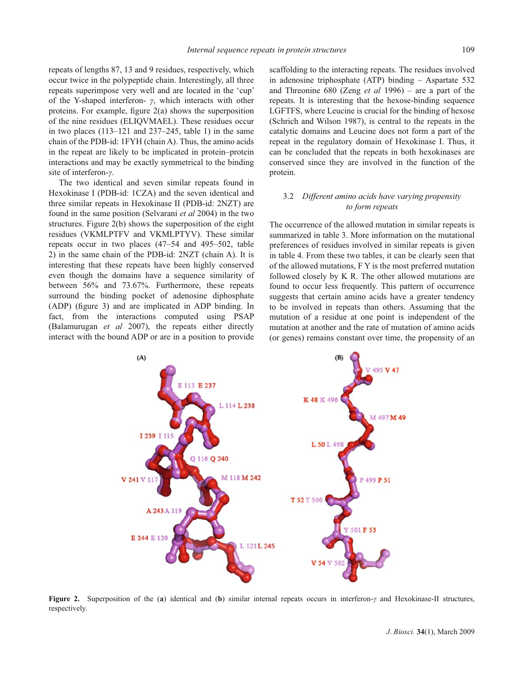repeats of lengths 87, 13 and 9 residues, respectively, which occur twice in the polypeptide chain. Interestingly, all three repeats superimpose very well and are located in the 'cup' of the Y-shaped interferon- *γ*, which interacts with other proteins. For example, figure  $2(a)$  shows the superposition of the nine residues (ELIQVMAEL). These residues occur in two places (113–121 and 237–245, table 1) in the same chain of the PDB-id: 1FYH (chain A). Thus, the amino acids in the repeat are likely to be implicated in protein–protein interactions and may be exactly symmetrical to the binding site of interferon-*γ*.

The two identical and seven similar repeats found in Hexokinase I (PDB-id: 1CZA) and the seven identical and three similar repeats in Hexokinase II (PDB-id: 2NZT) are found in the same position (Selvarani *et al* 2004) in the two structures. Figure 2(b) shows the superposition of the eight residues (VKMLPTFV and VKMLPTYV). These similar repeats occur in two places (47–54 and 495–502, table 2) in the same chain of the PDB-id: 2NZT (chain A). It is interesting that these repeats have been highly conserved even though the domains have a sequence similarity of between 56% and 73.67%. Furthermore, these repeats surround the binding pocket of adenosine diphosphate (ADP) (figure 3) and are implicated in ADP binding. In fact, from the interactions computed using PSAP (Balamurugan *et al* 2007), the repeats either directly interact with the bound ADP or are in a position to provide scaffolding to the interacting repeats. The residues involved in adenosine triphosphate (ATP) binding – Aspartate 532 and Threonine 680 (Zeng *et al* 1996) – are a part of the repeats. It is interesting that the hexose-binding sequence LGFTFS, where Leucine is crucial for the binding of hexose (Schrich and Wilson 1987), is central to the repeats in the catalytic domains and Leucine does not form a part of the repeat in the regulatory domain of Hexokinase I. Thus, it can be concluded that the repeats in both hexokinases are conserved since they are involved in the function of the protein.

# 3.2 *Different amino acids have varying propensity to form repeats*

The occurrence of the allowed mutation in similar repeats is summarized in table 3. More information on the mutational preferences of residues involved in similar repeats is given in table 4. From these two tables, it can be clearly seen that of the allowed mutations, F Y is the most preferred mutation followed closely by K R. The other allowed mutations are found to occur less frequently. This pattern of occurrence suggests that certain amino acids have a greater tendency to be involved in repeats than others. Assuming that the mutation of a residue at one point is independent of the mutation at another and the rate of mutation of amino acids (or genes) remains constant over time, the propensity of an



**Figure 2.** Superposition of the (**a**) identical and (**b**) similar internal repeats occurs in interferon-*γ* and Hexokinase-II structures, respectively.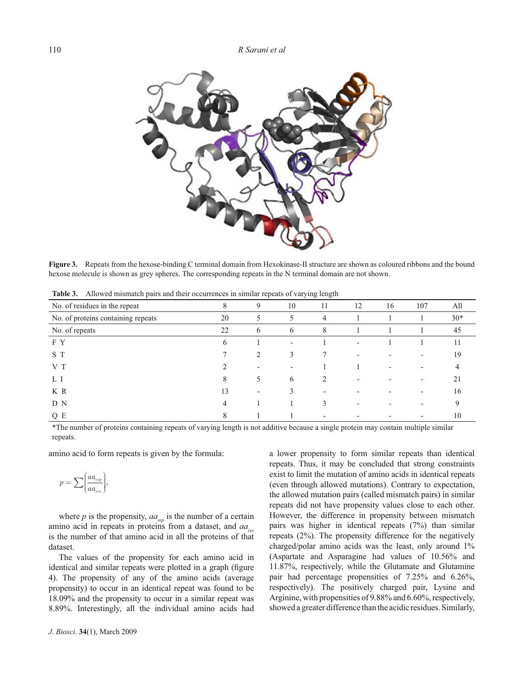

**Figure 3.** Repeats from the hexose-binding C terminal domain from Hexokinase-II structure are shown as coloured ribbons and the bound hexose molecule is shown as grey spheres. The corresponding repeats in the N terminal domain are not shown.

| <br>The was informed pairs and their occurrences in similar repeats of yarging rengin |    |                                                                                                                                                                 |                          |                |                          |    |                          |       |
|---------------------------------------------------------------------------------------|----|-----------------------------------------------------------------------------------------------------------------------------------------------------------------|--------------------------|----------------|--------------------------|----|--------------------------|-------|
| No. of residues in the repeat                                                         | 8  | 9                                                                                                                                                               | 10                       | 11             | 12                       | 16 | 107                      | All   |
| No. of proteins containing repeats                                                    | 20 | 5                                                                                                                                                               | 5                        | $\overline{4}$ |                          |    |                          | $30*$ |
| No. of repeats                                                                        | 22 | 6                                                                                                                                                               | 6                        | 8              |                          |    |                          | 45    |
| F Y                                                                                   | 6  |                                                                                                                                                                 | $\overline{\phantom{0}}$ |                | $\overline{\phantom{0}}$ |    |                          | 11    |
| S T                                                                                   |    | $\mathcal{D}_{\mathcal{L}}^{\mathcal{L}}(\mathcal{L})=\mathcal{L}_{\mathcal{L}}^{\mathcal{L}}(\mathcal{L})\mathcal{L}_{\mathcal{L}}^{\mathcal{L}}(\mathcal{L})$ | 3                        |                |                          |    |                          | 19    |
| V T                                                                                   |    |                                                                                                                                                                 |                          |                |                          |    |                          |       |
| L I                                                                                   | 8  | 5                                                                                                                                                               | 6                        | 2              |                          |    |                          | 21    |
| K R                                                                                   | 13 |                                                                                                                                                                 |                          |                |                          |    | $\overline{\phantom{0}}$ | 16    |
| D N                                                                                   | 4  |                                                                                                                                                                 |                          |                |                          |    |                          |       |
| Q E                                                                                   | 8  |                                                                                                                                                                 |                          |                |                          |    |                          | 10    |

**Table 3.** Allowed mismatch pairs and their occurrences in similar repeats of varying length

\*The number of proteins containing repeats of varying length is not additive because a single protein may contain multiple similar repeats.

amino acid to form repeats is given by the formula:

$$
p = \sum \bigg(\frac{a a_{\text{rep}}}{a a_{\text{res}}}\bigg),
$$

where  $p$  is the propensity,  $aa_{rep}$  is the number of a certain amino acid in repeats in proteins from a dataset, and *aa*<sub>ne</sub> is the number of that amino acid in all the proteins of that dataset.

The values of the propensity for each amino acid in identical and similar repeats were plotted in a graph (figure 4). The propensity of any of the amino acids (average propensity) to occur in an identical repeat was found to be 18.09% and the propensity to occur in a similar repeat was 8.89%. Interestingly, all the individual amino acids had a lower propensity to form similar repeats than identical repeats. Thus, it may be concluded that strong constraints exist to limit the mutation of amino acids in identical repeats (even through allowed mutations). Contrary to expectation, the allowed mutation pairs (called mismatch pairs) in similar repeats did not have propensity values close to each other. However, the difference in propensity between mismatch pairs was higher in identical repeats (7%) than similar repeats (2%). The propensity difference for the negatively charged/polar amino acids was the least, only around 1% (Aspartate and Asparagine had values of 10.56% and 11.87%, respectively, while the Glutamate and Glutamine pair had percentage propensities of 7.25% and 6.26%, respectively). The positively charged pair, Lysine and Arginine, with propensities of 9.88% and 6.60%, respectively, showed a greater difference than the acidic residues. Similarly,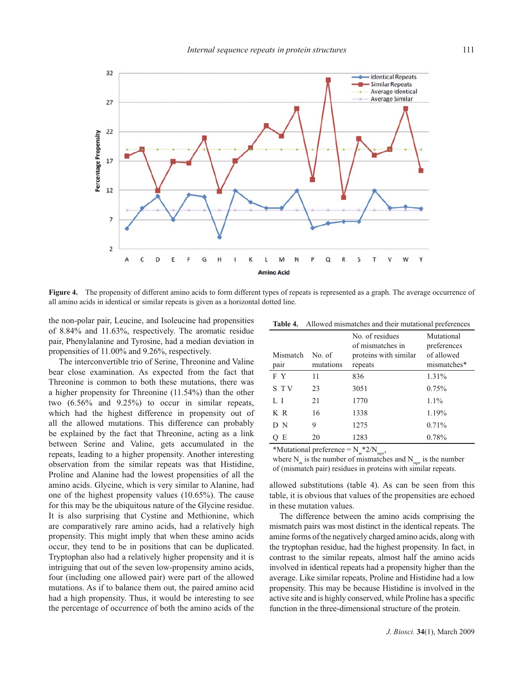

Figure 4. The propensity of different amino acids to form different types of repeats is represented as a graph. The average occurrence of all amino acids in identical or similar repeats is given as a horizontal dotted line.

the non-polar pair, Leucine, and Isoleucine had propensities of 8.84% and 11.63%, respectively. The aromatic residue pair, Phenylalanine and Tyrosine, had a median deviation in propensities of 11.00% and 9.26%, respectively.

The interconvertible trio of Serine, Threonine and Valine bear close examination. As expected from the fact that Threonine is common to both these mutations, there was a higher propensity for Threonine (11.54%) than the other two (6.56% and 9.25%) to occur in similar repeats, which had the highest difference in propensity out of all the allowed mutations. This difference can probably be explained by the fact that Threonine, acting as a link between Serine and Valine, gets accumulated in the repeats, leading to a higher propensity. Another interesting observation from the similar repeats was that Histidine, Proline and Alanine had the lowest propensities of all the amino acids. Glycine, which is very similar to Alanine, had one of the highest propensity values (10.65%). The cause for this may be the ubiquitous nature of the Glycine residue. It is also surprising that Cystine and Methionine, which are comparatively rare amino acids, had a relatively high propensity. This might imply that when these amino acids occur, they tend to be in positions that can be duplicated. Tryptophan also had a relatively higher propensity and it is intriguing that out of the seven low-propensity amino acids, four (including one allowed pair) were part of the allowed mutations. As if to balance them out, the paired amino acid had a high propensity. Thus, it would be interesting to see the percentage of occurrence of both the amino acids of the

| Table 4. | Allowed mismatches and their mutational preferences |  |  |  |
|----------|-----------------------------------------------------|--|--|--|
|----------|-----------------------------------------------------|--|--|--|

| Mismatch<br>pair                          | No of<br>mutations | No. of residues<br>of mismatches in<br>proteins with similar<br>repeats | Mutational<br>preferences<br>of allowed<br>mismatches* |  |  |  |  |
|-------------------------------------------|--------------------|-------------------------------------------------------------------------|--------------------------------------------------------|--|--|--|--|
| F Y                                       | 11                 | 836                                                                     | 1.31%                                                  |  |  |  |  |
| S TV                                      | 23                 | 3051                                                                    | 0.75%                                                  |  |  |  |  |
| L I                                       | 21                 | 1770                                                                    | $1.1\%$                                                |  |  |  |  |
| KR                                        | 16                 | 1338                                                                    | 1.19%                                                  |  |  |  |  |
| D N                                       | 9                  | 1275                                                                    | 0.71%                                                  |  |  |  |  |
| QE                                        | 20                 | 1283                                                                    | 0.78%                                                  |  |  |  |  |
| $*$ Mutational preference = $N \cdot 2/N$ |                    |                                                                         |                                                        |  |  |  |  |

 $M$ utational preference =

where  $N_m$  is the number of mismatches and  $N_{mm}$  is the number of (mismatch pair) residues in proteins with similar repeats.

allowed substitutions (table 4). As can be seen from this table, it is obvious that values of the propensities are echoed in these mutation values.

The difference between the amino acids comprising the mismatch pairs was most distinct in the identical repeats. The amine forms of the negatively charged amino acids, along with the tryptophan residue, had the highest propensity. In fact, in contrast to the similar repeats, almost half the amino acids involved in identical repeats had a propensity higher than the average. Like similar repeats, Proline and Histidine had a low propensity. This may be because Histidine is involved in the active site and is highly conserved, while Proline has a specific function in the three-dimensional structure of the protein.